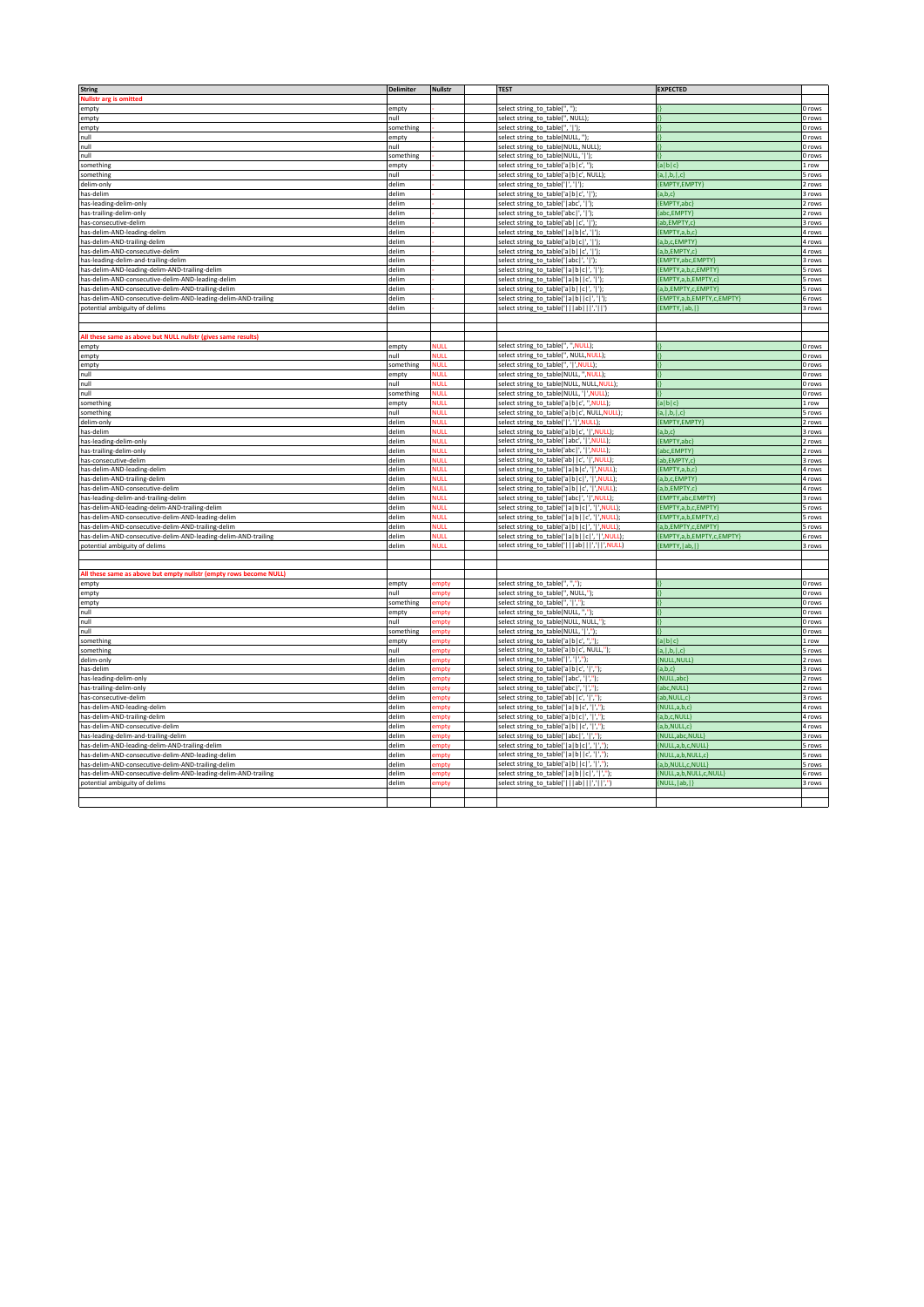| <b>String</b>                                                      | <b>Delimiter</b> | <b>Nullstr</b> | <b>TEST</b>                                   | <b>EXPECTED</b>           |        |
|--------------------------------------------------------------------|------------------|----------------|-----------------------------------------------|---------------------------|--------|
|                                                                    |                  |                |                                               |                           |        |
| <b>Nullstr arg is omitted</b>                                      |                  |                |                                               |                           |        |
| empty                                                              | empty            |                | select string_to_table(", ");                 |                           | 0 rows |
| empty                                                              | null             |                | select string_to_table(", NULL)               |                           | 0 rows |
| empty                                                              | something        |                | select string_to_table(", ' ');               | $\theta$                  | 0 rows |
| null                                                               | empty            |                | select string_to_table(NULL, ");              | $\Omega$                  | 0 rows |
| null                                                               | null             |                | select string_to_table(NULL, NULL)            | $\mathbf{a}$              | 0 rows |
| null                                                               | something        |                | select string_to_table(NULL, ' ');            |                           | 0 rows |
| something                                                          | empty            |                | select string_to_table('a b c', ")            | a b c                     | 1 row  |
| something                                                          | null             |                | select string_to_table('a b c', NULL);        | a.l.b.l.c                 | 5 rows |
| delim-only                                                         | delim            |                | select string to table(' ', ' ');             | {EMPTY,EMPTY}             | 2 rows |
| has-delim                                                          | delim            |                | select string to table('a b c',' ');          | ${a,b,c}$                 | 3 rows |
| has-leading-delim-only                                             | delim            |                | select string_to_table(' abc', ' ');          | {EMPTY,abc}               | 2 rows |
| has-trailing-delim-only                                            | delim            |                | select string_to_table('abc ', ' ');          | {abc,EMPTY}               | 2 rows |
| has-consecutive-delim                                              | delim            |                | select string_to_table('ab   c', ' ');        | {ab,EMPTY,c}              | 3 rows |
| has-delim-AND-leading-delim                                        | delim            |                | select string_to_table(' a b c', ' ')         | EMPTY,a,b,c}              | 4 rows |
| has-delim-AND-trailing-delim                                       | delim            |                | select string_to_table('a b c ',' ');         | {a,b,c,EMPTY}             | 4 rows |
| has-delim-AND-consecutive-delim                                    | delim            |                | select string_to_table('a b  c',' ');         | (a,b,EMPTY,c}             | 4 rows |
| has-leading-delim-and-trailing-delim                               | delim            |                | select string_to_table(' abc ', ' ');         | {EMPTY,abc,EMPTY}         | 3 rows |
| has-delim-AND-leading-delim-AND-trailing-delim                     | delim            |                | select string_to_table(' a b c ',' ');        | [EMPTY,a,b,c,EMPTY]       | o rows |
| has-delim-AND-consecutive-delim-AND-leading-delim                  |                  |                | select string_to_table(' a b  c', ' ');       | [EMPTY,a,b,EMPTY,c]       |        |
|                                                                    | delim            |                |                                               |                           | rows   |
| has-delim-AND-consecutive-delim-AND-trailing-delim                 | delim            |                | select string_to_table('a b  c ', ' ');       | a,b,EMPTY,c,EMPTY)        | i rows |
| has-delim-AND-consecutive-delim-AND-leading-delim-AND-trailing     | delim            |                | select string_to_table(' a b  c ', ' ');      | EMPTY,a,b,EMPTY,c,EMPTY)  | 6 rows |
| potential ambiguity of delims                                      | delim            |                | select string_to_table('   ab   ','  ')       | [EMPTY,  ab,  ]           | 3 rows |
|                                                                    |                  |                |                                               |                           |        |
|                                                                    |                  |                |                                               |                           |        |
| All these same as above but NULL nullstr (gives same results)      |                  |                |                                               |                           |        |
| empty                                                              | empty            | iull           | select string_to_table(", ",NULL);            |                           | 0 rows |
| empty                                                              | null             | iuli           | select string_to_table(", NULL, NULL)         |                           | 0 rows |
| empty                                                              | something        | <b>JULL</b>    | select string_to_table(", ' ',NULL);          |                           | 0 rows |
| null                                                               | empty            | <b>ULL</b>     | select string_to_table(NULL, ",NULL)          |                           | 0 rows |
| null                                                               | null             | iull           | select string_to_table(NULL, NULL, NULL)      | $\mathbf{a}$              | 0 rows |
| null                                                               | something        | iull           | select string_to_table(NULL, ' ',NULL);       |                           | 0 rows |
| something                                                          | empty            | iull           | select string_to_table('a b c', ",NULL);      | ${a b c}$                 | 1 row  |
| something                                                          | null             | iull           | select string_to_table('a b c', NULL, NULL)   | [a,  , b,  , c]           | rows   |
| delim-only                                                         | delim            | iull           | select string_to_table(' ', ' ',NULL);        | <b>EMPTY,EMPTY}</b>       | 2 rows |
| has-delim                                                          | delim            | iull           | select string_to_table('a b c', ' ',NULL);    | a,b,c                     | 3 rows |
| has-leading-delim-only                                             | delim            | iull           | select string_to_table(' abc', ' ',NULL);     | {EMPTY,abc}               | 2 rows |
| has-trailing-delim-only                                            | delim            | <b>JULL</b>    | select string to table('abc)', ' ',NULL);     | {abc,EMPTY}               | 2 rows |
| has-consecutive-delim                                              | delim            | iull           | select string_to_table('ab  c', ' ',NULL);    | (ab,EMPTY,c)              | 3 rows |
| has-delim-AND-leading-delim                                        | delim            | mп             | select string to table(' a b c',' ',NULL);    | {EMPTY,a,b,c}             | 4 rows |
|                                                                    |                  | <b>JULL</b>    |                                               |                           |        |
| has-delim-AND-trailing-delim                                       | delim            |                | select string_to_table('a b c ',' ',NULL);    | {a,b,c,EMPTY}             | 4 rows |
| has-delim-AND-consecutive-delim                                    | delim            | <b>JULL</b>    | select string_to_table('a b  c', ' ',NULL);   | (a,b,EMPTY,c}             | 4 rows |
| has-leading-delim-and-trailing-delim                               | delim            | <b>JULL</b>    | select string_to_table(' abc ',' ',NULL);     | {EMPTY,abc,EMPTY}         | 3 rows |
| has-delim-AND-leading-delim-AND-trailing-delim                     | delim            | <b>JULL</b>    | select string_to_table(' a b c ',' ',NULL);   | (EMPTY,a,b,c,EMPTY)       | 5 rows |
| has-delim-AND-consecutive-delim-AND-leading-delim                  | delim            | iull           | select string_to_table(' a b  c', ' ',NULL);  | {EMPTY,a,b,EMPTY,c}       | 5 rows |
| has-delim-AND-consecutive-delim-AND-trailing-delim                 | delim            | iull           | select string_to_table('a b  c ', ' ',NULL);  | (a,b,EMPTY,c,EMPTY}       | 5 rows |
| has-delim-AND-consecutive-delim-AND-leading-delim-AND-trailing     | delim            | JULL           | select string_to_table(' a b  c ', ' ',NULL); | {EMPTY,a,b,EMPTY,c,EMPTY} | 5 rows |
| potential ambiguity of delims                                      | delim            | JULL           | select string_to_table('   ab   ','  ',NULL)  | {EMPTY,   ab,   }         | 3 rows |
|                                                                    |                  |                |                                               |                           |        |
|                                                                    |                  |                |                                               |                           |        |
| All these same as above but empty nullstr (empty rows become NULL) |                  |                |                                               |                           |        |
| empty                                                              | empty            | mpty           | select string_to_table(", ",");               |                           | 0 rows |
| empty                                                              | null             | mpty           | select string_to_table(", NULL,");            |                           | 0 rows |
| empty                                                              | something        | mpty           | select string_to_table(", ' ',");             |                           | 0 rows |
| null                                                               | empty            | mpty           | select string_to_table(NULL,",");             |                           | 0 rows |
| null                                                               | null             | mpty           | select string_to_table(NULL, NULL,"           |                           | 0 rows |
| null                                                               | something        | mpty           | select string_to_table(NULL, ' ',");          |                           | 0 rows |
| something                                                          | empty            | mpty           | select string_to_table('a b c',",")           | <i>laibic</i>             | 1 row  |
| somethin                                                           | null             | mpty           | select string_to_table('a b c', NULL,")       | [a,  , b,  , c]           | o rows |
| delim-only                                                         | delim            |                | select string_to_table(' ',' ',");            | <b>NULL, NULL</b>         | 2 rows |
|                                                                    |                  | mpty           |                                               |                           |        |
| has-delim                                                          | delim            | mpty           | select string_to_table('a b c', ' ',");       | ${a,b,c}$<br>{NULL,abc}   | 3 rows |
| has-leading-delim-only                                             | delim            | mpty           | select string_to_table(' abc', ' ',");        |                           | 2 rows |
| has-trailing-delim-only                                            | delim            | mpty           | select string_to_table('abc ', ' ',");        | (abc, NULL)               | 2 rows |
| has-consecutive-delim                                              | delim            | mpty           | select string_to_table('ab  c', ' ',");       | (ab,NULL,c)               | 3 rows |
| has-delim-AND-leading-delim                                        | delim            | mpty           | select string_to_table(' a b c', ' ',");      | (NULL.a.b.c)              | 4 rows |
| has-delim-AND-trailing-delim                                       | delim            | mpty           | select string_to_table('a b c ',' ',");       | (a,b,c,NULL)              | 4 rows |
| has-delim-AND-consecutive-delim                                    | delim            | mpty           | select string_to_table('a b  c', ' ',");      | (a,b,NULL,c)              | 4 rows |
| has-leading-delim-and-trailing-delim                               | delim            | mpty           | select string to table(' abc ',' ',");        | {NULL,abc,NULL}           | 3 rows |
| has-delim-AND-leading-delim-AND-trailing-delim                     | delim            | mpty           | select string_to_table(' a b c ',' ',");      | {NULL,a,b,c,NULL}         | 5 rows |
| has-delim-AND-consecutive-delim-AND-leading-delim                  | delim            | noty           | select string_to_table(' a b  c', ' ',");     | (NULL,a,b,NULL,c)         | 5 rows |
| has-delim-AND-consecutive-delim-AND-trailing-delim                 | delim            | mpty           | select string_to_table('a b  c ', ' ',");     | (a,b,NULL,c,NULL)         | 5 rows |
| has-delim-AND-consecutive-delim-AND-leading-delim-AND-trailing     | delim            | mpty           | select string_to_table(' a b  c ',' ',");     | {NULL,a,b,NULL,c,NULL}    | 6 rows |
| potential ambiguity of delims                                      | delim            | mpty           | select string_to_table('   ab   ','  ',")     | $\{NULL,  ab, \}$         | 3 rows |
|                                                                    |                  |                |                                               |                           |        |
|                                                                    |                  |                |                                               |                           |        |